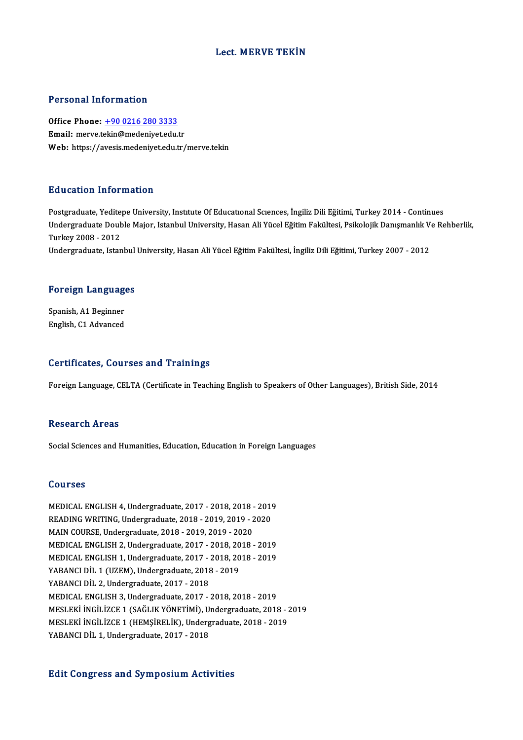# Lect.MERVE TEKİN

### Personal Information

Personal Information<br>Office Phone: <u>+90 0216 280 3333</u><br>Email: merys tekin@medeniyet.edu.t 1 ST SOMM THEST MURRET<br>Office Phone: <u>+90 0216 280 3333</u><br>Email: merve.t[ekin@medeniyet.edu.](tel:+90 0216 280 3333)tr Email: merve.tekin@medeniyet.edu.tr<br>Web: https://avesis.medeniyet.edu.tr/merve.tekin

## Education Information

Postgraduate, Yeditepe University, Institute Of Educational Sciences, İngiliz Dili Eğitimi, Turkey 2014 - Continues Du u outrori Trivor Inderon<br>Postgraduate, Yeditepe University, Institute Of Educational Sciences, İngiliz Dili Eğitimi, Turkey 2014 - Continues<br>Undergraduate Double Major, Istanbul University, Hasan Ali Yücel Eğitim Fakült Postgraduate, Yedite<br>Undergraduate Doul<br>Turkey 2008 - 2012<br>Undergraduate Istan Undergraduate Double Major, Istanbul University, Hasan Ali Yücel Eğitim Fakültesi, Psikolojik Danışmanlık V<br>Turkey 2008 - 2012<br>Undergraduate, Istanbul University, Hasan Ali Yücel Eğitim Fakültesi, İngiliz Dili Eğitimi, Tur

# <sub>ondergraduate, istanbul</sub><br>Foreign Languages

F<mark>oreign Languag</mark><br>Spanish, A1 Beginner<br><sup>English, C1 Advanced</sup> Spanish, A1 Beginner<br>English, C1 Advanced

### Certificates, Courses and Trainings

Foreign Language, CELTA (Certificate in Teaching English to Speakers of Other Languages), British Side, 2014

### **Research Areas**

Social Sciences and Humanities, Education, Education in Foreign Languages

### Courses

Courses<br>MEDICAL ENGLISH 4, Undergraduate, 2017 - 2018, 2018 - 2019<br>READING WRITING, Undergraduate, 2018, 2019, 2019, 2020 SOUTBEB<br>MEDICAL ENGLISH 4, Undergraduate, 2017 - 2018, 2018 - 2019<br>READING WRITING, Undergraduate, 2018 - 2019, 2019 - 2020<br>MAIN COURSE, Undergraduate, 2019, 2019, 2019, 2020 MEDICAL ENGLISH 4, Undergraduate, 2017 - 2018, 2018<br>READING WRITING, Undergraduate, 2018 - 2019, 2019 - 2<br>MAIN COURSE, Undergraduate, 2018 - 2019, 2019 - 2020<br>MEDICAL ENCLISH 2, Undergraduate, 2017 - 2018, 2019 READING WRITING, Undergraduate, 2018 - 2019, 2019 - 2020<br>MAIN COURSE, Undergraduate, 2018 - 2019, 2019 - 2020<br>MEDICAL ENGLISH 2, Undergraduate, 2017 - 2018, 2018 - 2019<br>MEDICAL ENGLISH 1, Undergraduate, 2017 - 2018, 2018 -MEDICAL ENGLISH 2, Undergraduate, 2017 - 2018, 2018 - 2019 MEDICAL ENGLISH 2, Undergraduate, 2017 - 2018, 20<br>MEDICAL ENGLISH 1, Undergraduate, 2017 - 2018, 20<br>YABANCI DIL 1 (UZEM), Undergraduate, 2018 - 2019<br>YABANCI DIL 2, Undergraduate, 2017, 2019 MEDICAL ENGLISH 1, Undergraduate, 2017 -<br>YABANCI DİL 1 (UZEM), Undergraduate, 2018<br>YABANCI DİL 2, Undergraduate, 2017 - 2018<br>MEDICAL ENCLISH 2, Undergraduate, 2017 YABANCI DİL 2, Undergraduate, 2017 - 2018<br>MEDICAL ENGLISH 3, Undergraduate, 2017 - 2018, 2018 - 2019 YABANCI DİL 2, Undergraduate, 2017 - 2018<br>MEDICAL ENGLISH 3, Undergraduate, 2017 - 2018, 2018 - 2019<br>MESLEKİ İNGİLİZCE 1 (SAĞLIK YÖNETİMİ), Undergraduate, 2018 - 2019<br>MESLEKİ İNGİLİZCE 1 (UEMSİRELİK), Undergraduate, 2019, MEDICAL ENGLISH 3, Undergraduate, 2017 - 2018, 2018 - 2019<br>MESLEKİ İNGİLİZCE 1 (SAĞLIK YÖNETİMİ), Undergraduate, 2018 - 2<br>MESLEKİ İNGİLİZCE 1 (HEMŞİRELİK), Undergraduate, 2018 - 2019<br>YARANCI DİL 1 Hadergraduate, 2017, 2019 MESLEKİ İNGİLİZCE 1 (SAĞLIK YÖNETİMİ), U.<br>MESLEKİ İNGİLİZCE 1 (HEMŞİRELİK), Underg<br>YABANCI DİL 1, Undergraduate, 2017 - 2018

# YABANCI DİL 1, Undergraduate, 2017 - 2018<br>Edit Congress and Symposium Activities